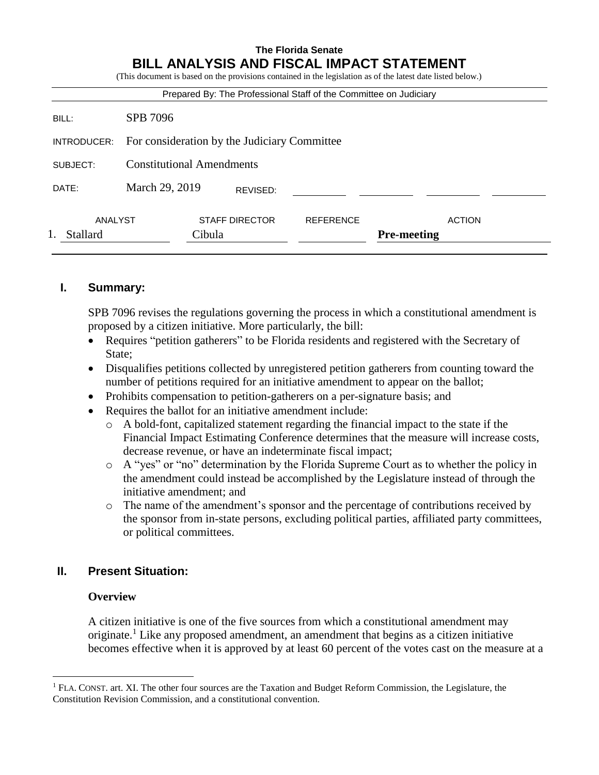## **The Florida Senate BILL ANALYSIS AND FISCAL IMPACT STATEMENT**

(This document is based on the provisions contained in the legislation as of the latest date listed below.)

| Prepared By: The Professional Staff of the Committee on Judiciary |                                              |                       |                  |                    |               |
|-------------------------------------------------------------------|----------------------------------------------|-----------------------|------------------|--------------------|---------------|
| BILL:                                                             | SPB 7096                                     |                       |                  |                    |               |
| INTRODUCER:                                                       | For consideration by the Judiciary Committee |                       |                  |                    |               |
| SUBJECT:                                                          | <b>Constitutional Amendments</b>             |                       |                  |                    |               |
| DATE:                                                             | March 29, 2019                               | REVISED:              |                  |                    |               |
| ANALYST                                                           |                                              | <b>STAFF DIRECTOR</b> | <b>REFERENCE</b> |                    | <b>ACTION</b> |
| <b>Stallard</b>                                                   | Cibula                                       |                       |                  | <b>Pre-meeting</b> |               |
|                                                                   |                                              |                       |                  |                    |               |

### **I. Summary:**

SPB 7096 revises the regulations governing the process in which a constitutional amendment is proposed by a citizen initiative. More particularly, the bill:

- Requires "petition gatherers" to be Florida residents and registered with the Secretary of State;
- Disqualifies petitions collected by unregistered petition gatherers from counting toward the number of petitions required for an initiative amendment to appear on the ballot;
- Prohibits compensation to petition-gatherers on a per-signature basis; and
- Requires the ballot for an initiative amendment include:
	- o A bold-font, capitalized statement regarding the financial impact to the state if the Financial Impact Estimating Conference determines that the measure will increase costs, decrease revenue, or have an indeterminate fiscal impact;
	- o A "yes" or "no" determination by the Florida Supreme Court as to whether the policy in the amendment could instead be accomplished by the Legislature instead of through the initiative amendment; and
	- o The name of the amendment's sponsor and the percentage of contributions received by the sponsor from in-state persons, excluding political parties, affiliated party committees, or political committees.

## **II. Present Situation:**

### **Overview**

 $\overline{a}$ 

A citizen initiative is one of the five sources from which a constitutional amendment may originate.<sup>1</sup> Like any proposed amendment, an amendment that begins as a citizen initiative becomes effective when it is approved by at least 60 percent of the votes cast on the measure at a

<sup>1</sup> FLA. CONST. art. XI. The other four sources are the Taxation and Budget Reform Commission, the Legislature, the Constitution Revision Commission, and a constitutional convention.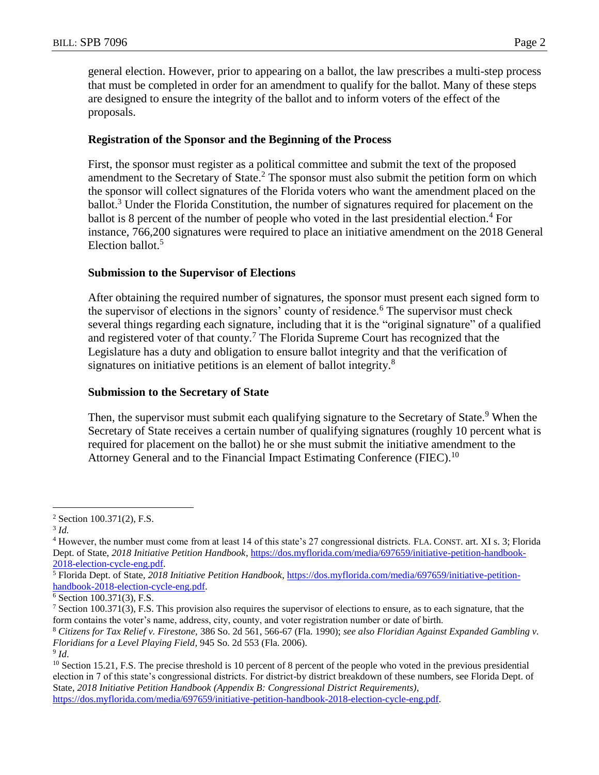general election. However, prior to appearing on a ballot, the law prescribes a multi-step process that must be completed in order for an amendment to qualify for the ballot. Many of these steps are designed to ensure the integrity of the ballot and to inform voters of the effect of the proposals.

### **Registration of the Sponsor and the Beginning of the Process**

First, the sponsor must register as a political committee and submit the text of the proposed amendment to the Secretary of State.<sup>2</sup> The sponsor must also submit the petition form on which the sponsor will collect signatures of the Florida voters who want the amendment placed on the ballot.<sup>3</sup> Under the Florida Constitution, the number of signatures required for placement on the ballot is 8 percent of the number of people who voted in the last presidential election.<sup>4</sup> For instance, 766,200 signatures were required to place an initiative amendment on the 2018 General Election ballot.<sup>5</sup>

### **Submission to the Supervisor of Elections**

After obtaining the required number of signatures, the sponsor must present each signed form to the supervisor of elections in the signors' county of residence.<sup>6</sup> The supervisor must check several things regarding each signature, including that it is the "original signature" of a qualified and registered voter of that county.<sup>7</sup> The Florida Supreme Court has recognized that the Legislature has a duty and obligation to ensure ballot integrity and that the verification of signatures on initiative petitions is an element of ballot integrity. $8$ 

## **Submission to the Secretary of State**

Then, the supervisor must submit each qualifying signature to the Secretary of State.<sup>9</sup> When the Secretary of State receives a certain number of qualifying signatures (roughly 10 percent what is required for placement on the ballot) he or she must submit the initiative amendment to the Attorney General and to the Financial Impact Estimating Conference (FIEC).<sup>10</sup>

 $\overline{a}$ 

<sup>2</sup> Section 100.371(2), F.S.

<sup>3</sup> *Id.*

<sup>4</sup> However, the number must come from at least 14 of this state's 27 congressional districts. FLA. CONST. art. XI s. 3; Florida Dept. of State, *2018 Initiative Petition Handbook*, [https://dos.myflorida.com/media/697659/initiative-petition-handbook-](https://dos.myflorida.com/media/697659/initiative-petition-handbook-2018-election-cycle-eng.pdf)[2018-election-cycle-eng.pdf.](https://dos.myflorida.com/media/697659/initiative-petition-handbook-2018-election-cycle-eng.pdf)

<sup>5</sup> Florida Dept. of State, *2018 Initiative Petition Handbook*[, https://dos.myflorida.com/media/697659/initiative-petition](https://dos.myflorida.com/media/697659/initiative-petition-handbook-2018-election-cycle-eng.pdf)[handbook-2018-election-cycle-eng.pdf.](https://dos.myflorida.com/media/697659/initiative-petition-handbook-2018-election-cycle-eng.pdf)

<sup>6</sup> Section 100.371(3), F.S.

 $^7$  Section 100.371(3), F.S. This provision also requires the supervisor of elections to ensure, as to each signature, that the form contains the voter's name, address, city, county, and voter registration number or date of birth.

<sup>8</sup> *Citizens for Tax Relief v. Firestone,* 386 So. 2d 561, 566-67 (Fla. 1990); *see also Floridian Against Expanded Gambling v. Floridians for a Level Playing Field,* 945 So. 2d 553 (Fla. 2006).

<sup>9</sup> *Id*.

<sup>&</sup>lt;sup>10</sup> Section 15.21, F.S. The precise threshold is 10 percent of 8 percent of the people who voted in the previous presidential election in 7 of this state's congressional districts. For district-by district breakdown of these numbers, see Florida Dept. of State, *2018 Initiative Petition Handbook (Appendix B: Congressional District Requirements)*, [https://dos.myflorida.com/media/697659/initiative-petition-handbook-2018-election-cycle-eng.pdf.](https://dos.myflorida.com/media/697659/initiative-petition-handbook-2018-election-cycle-eng.pdf)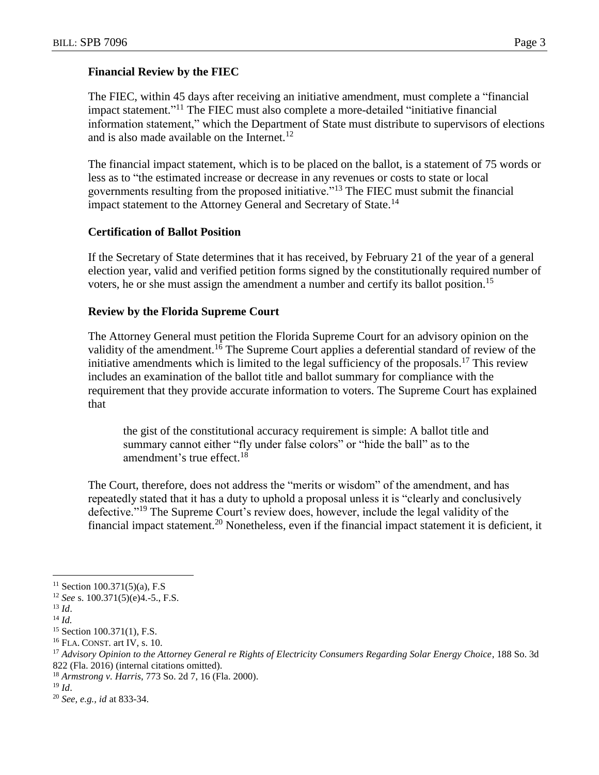### **Financial Review by the FIEC**

The FIEC, within 45 days after receiving an initiative amendment, must complete a "financial impact statement."<sup>11</sup> The FIEC must also complete a more-detailed "initiative financial information statement," which the Department of State must distribute to supervisors of elections and is also made available on the Internet. $12$ 

The financial impact statement, which is to be placed on the ballot, is a statement of 75 words or less as to "the estimated increase or decrease in any revenues or costs to state or local governments resulting from the proposed initiative."<sup>13</sup> The FIEC must submit the financial impact statement to the Attorney General and Secretary of State.<sup>14</sup>

### **Certification of Ballot Position**

If the Secretary of State determines that it has received, by February 21 of the year of a general election year, valid and verified petition forms signed by the constitutionally required number of voters, he or she must assign the amendment a number and certify its ballot position.<sup>15</sup>

### **Review by the Florida Supreme Court**

The Attorney General must petition the Florida Supreme Court for an advisory opinion on the validity of the amendment.<sup>16</sup> The Supreme Court applies a deferential standard of review of the initiative amendments which is limited to the legal sufficiency of the proposals.<sup>17</sup> This review includes an examination of the ballot title and ballot summary for compliance with the requirement that they provide accurate information to voters. The Supreme Court has explained that

the gist of the constitutional accuracy requirement is simple: A ballot title and summary cannot either "fly under false colors" or "hide the ball" as to the amendment's true effect.<sup>18</sup>

The Court, therefore, does not address the "merits or wisdom" of the amendment, and has repeatedly stated that it has a duty to uphold a proposal unless it is "clearly and conclusively defective."<sup>19</sup> The Supreme Court's review does, however, include the legal validity of the financial impact statement.<sup>20</sup> Nonetheless, even if the financial impact statement it is deficient, it

 $\overline{a}$ 

 $19$  *Id.* 

<sup>20</sup> *See, e.g., id* at 833-34.

 $11$  Section 100.371(5)(a), F.S

<sup>12</sup> *See* s. 100.371(5)(e)4.-5., F.S.

<sup>13</sup> *Id*.

<sup>14</sup> *Id.*

<sup>15</sup> Section 100.371(1), F.S.

<sup>&</sup>lt;sup>16</sup> FLA. CONST. art IV, s. 10.

<sup>17</sup> *Advisory Opinion to the Attorney General re Rights of Electricity Consumers Regarding Solar Energy Choice*, 188 So. 3d 822 (Fla. 2016) (internal citations omitted).

<sup>18</sup> *Armstrong v. Harris*, 773 So. 2d 7, 16 (Fla. 2000).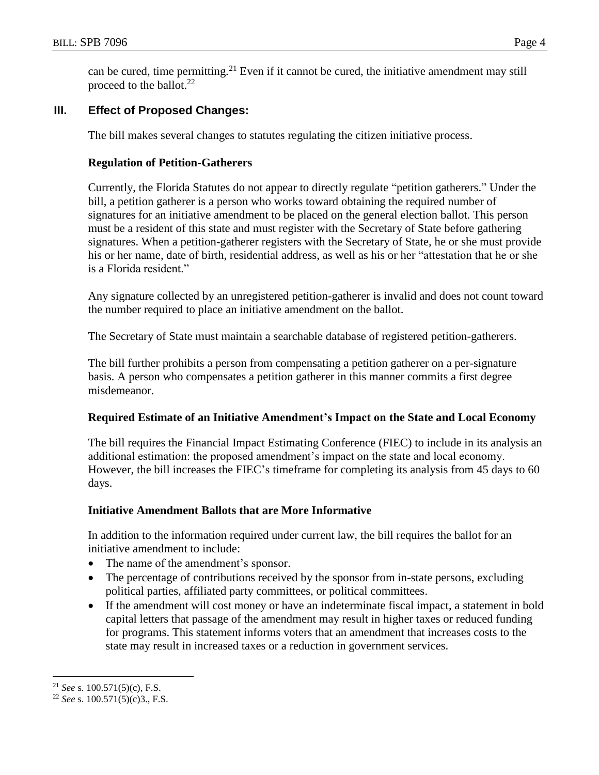can be cured, time permitting.<sup>21</sup> Even if it cannot be cured, the initiative amendment may still proceed to the ballot. $^{22}$ 

# **III. Effect of Proposed Changes:**

The bill makes several changes to statutes regulating the citizen initiative process.

### **Regulation of Petition-Gatherers**

Currently, the Florida Statutes do not appear to directly regulate "petition gatherers." Under the bill, a petition gatherer is a person who works toward obtaining the required number of signatures for an initiative amendment to be placed on the general election ballot. This person must be a resident of this state and must register with the Secretary of State before gathering signatures. When a petition-gatherer registers with the Secretary of State, he or she must provide his or her name, date of birth, residential address, as well as his or her "attestation that he or she is a Florida resident."

Any signature collected by an unregistered petition-gatherer is invalid and does not count toward the number required to place an initiative amendment on the ballot.

The Secretary of State must maintain a searchable database of registered petition-gatherers.

The bill further prohibits a person from compensating a petition gatherer on a per-signature basis. A person who compensates a petition gatherer in this manner commits a first degree misdemeanor.

## **Required Estimate of an Initiative Amendment's Impact on the State and Local Economy**

The bill requires the Financial Impact Estimating Conference (FIEC) to include in its analysis an additional estimation: the proposed amendment's impact on the state and local economy. However, the bill increases the FIEC's timeframe for completing its analysis from 45 days to 60 days.

### **Initiative Amendment Ballots that are More Informative**

In addition to the information required under current law, the bill requires the ballot for an initiative amendment to include:

- The name of the amendment's sponsor.
- The percentage of contributions received by the sponsor from in-state persons, excluding political parties, affiliated party committees, or political committees.
- If the amendment will cost money or have an indeterminate fiscal impact, a statement in bold capital letters that passage of the amendment may result in higher taxes or reduced funding for programs. This statement informs voters that an amendment that increases costs to the state may result in increased taxes or a reduction in government services.

 $\overline{a}$ 

<sup>21</sup> *See* s. 100.571(5)(c), F.S.

<sup>22</sup> *See* s. 100.571(5)(c)3., F.S.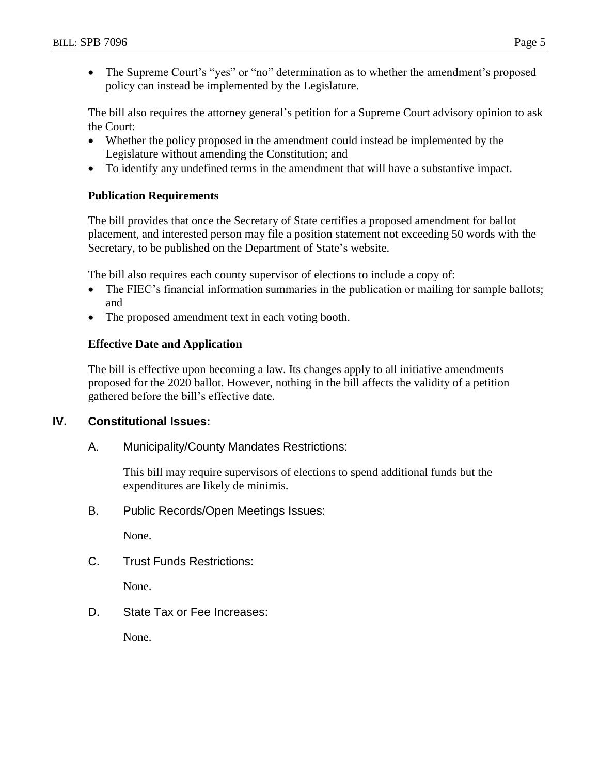• The Supreme Court's "yes" or "no" determination as to whether the amendment's proposed policy can instead be implemented by the Legislature.

The bill also requires the attorney general's petition for a Supreme Court advisory opinion to ask the Court:

- Whether the policy proposed in the amendment could instead be implemented by the Legislature without amending the Constitution; and
- To identify any undefined terms in the amendment that will have a substantive impact.

### **Publication Requirements**

The bill provides that once the Secretary of State certifies a proposed amendment for ballot placement, and interested person may file a position statement not exceeding 50 words with the Secretary, to be published on the Department of State's website.

The bill also requires each county supervisor of elections to include a copy of:

- The FIEC's financial information summaries in the publication or mailing for sample ballots; and
- The proposed amendment text in each voting booth.

#### **Effective Date and Application**

The bill is effective upon becoming a law. Its changes apply to all initiative amendments proposed for the 2020 ballot. However, nothing in the bill affects the validity of a petition gathered before the bill's effective date.

## **IV. Constitutional Issues:**

A. Municipality/County Mandates Restrictions:

This bill may require supervisors of elections to spend additional funds but the expenditures are likely de minimis.

B. Public Records/Open Meetings Issues:

None.

C. Trust Funds Restrictions:

None.

D. State Tax or Fee Increases:

None.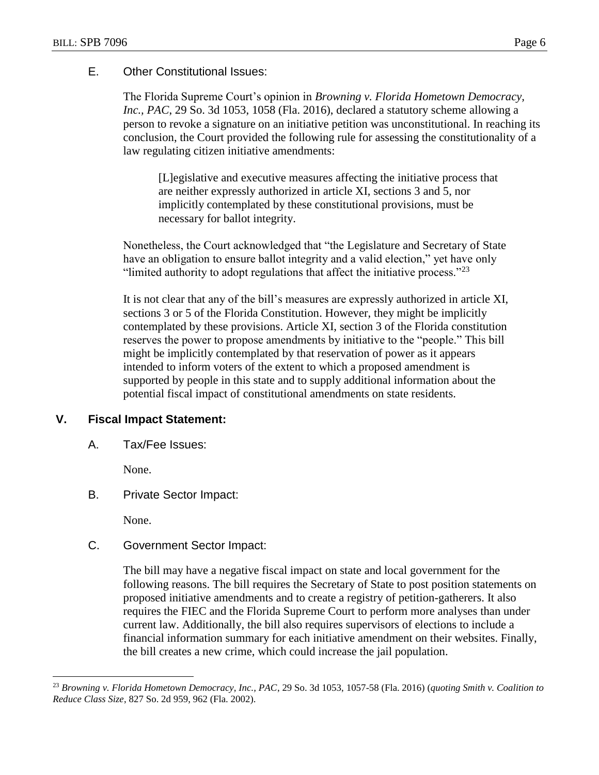### E. Other Constitutional Issues:

The Florida Supreme Court's opinion in *Browning v. Florida Hometown Democracy, Inc., PAC*, 29 So. 3d 1053, 1058 (Fla. 2016), declared a statutory scheme allowing a person to revoke a signature on an initiative petition was unconstitutional. In reaching its conclusion, the Court provided the following rule for assessing the constitutionality of a law regulating citizen initiative amendments:

[L]egislative and executive measures affecting the initiative process that are neither expressly authorized in article XI, sections 3 and 5, nor implicitly contemplated by these constitutional provisions, must be necessary for ballot integrity.

Nonetheless, the Court acknowledged that "the Legislature and Secretary of State have an obligation to ensure ballot integrity and a valid election," yet have only "limited authority to adopt regulations that affect the initiative process." $^{23}$ 

It is not clear that any of the bill's measures are expressly authorized in article XI, sections 3 or 5 of the Florida Constitution. However, they might be implicitly contemplated by these provisions. Article XI, section 3 of the Florida constitution reserves the power to propose amendments by initiative to the "people." This bill might be implicitly contemplated by that reservation of power as it appears intended to inform voters of the extent to which a proposed amendment is supported by people in this state and to supply additional information about the potential fiscal impact of constitutional amendments on state residents.

## **V. Fiscal Impact Statement:**

A. Tax/Fee Issues:

None.

B. Private Sector Impact:

None.

 $\overline{a}$ 

## C. Government Sector Impact:

The bill may have a negative fiscal impact on state and local government for the following reasons. The bill requires the Secretary of State to post position statements on proposed initiative amendments and to create a registry of petition-gatherers. It also requires the FIEC and the Florida Supreme Court to perform more analyses than under current law. Additionally, the bill also requires supervisors of elections to include a financial information summary for each initiative amendment on their websites. Finally, the bill creates a new crime, which could increase the jail population.

<sup>23</sup> *Browning v. Florida Hometown Democracy, Inc., PAC*, 29 So. 3d 1053, 1057-58 (Fla. 2016) (*quoting Smith v. Coalition to Reduce Class Size*, 827 So. 2d 959, 962 (Fla. 2002).